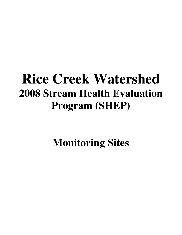# **Rice Creek Watershed 2008 Stream Health Evaluation Program (SHEP)**

**Monitoring Sites**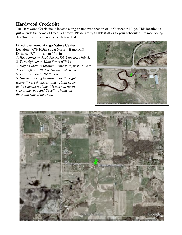## **Hardwood Creek Site**

The Hardwood Creek site is located along an unpaved section of 165<sup>th</sup> street in Hugo. This location is just outside the home of Cecelia Leroux. Please notify SHEP staff as to your scheduled site monitoring date/time, so we can notify her before had.

## **Directions from: Wargo Nature Center**

Location: 4679 165th Street North – Hugo, MN Distance: 7.7 mi – about 15 mins *1. Head north on Park Access Rd G toward Main St 2. Turn right on to Main Street (CR 14) 3. Stay on Main St through Centerville, past 35 East 4. Turn left on 24th Ave N/Elmcrest Ave N 5. Turn right on to 165th St N 6. Our monitoring location in on the right, where the creek passes under 165th street at the t-junction of the driveway on north side of the road and Cecelia's home on the south side of the road.*



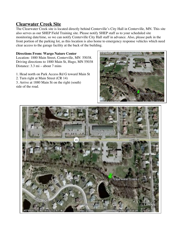## **Clearwater Creek Site**

The Clearwater Creek site is located directly behind Centerville's City Hall in Centerville, MN. This site also serves as our SHEP Field Training site. Please notify SHEP staff as to your scheduled site monitoring date/time, so we can notify Centerville City Hall staff in advance. Also, please park in the front portion of the parking lot, as this location is also home to emergency response vehicles which need clear access to the garage facility at the back of the building.

### **Directions From: Wargo Nature Center**

Location: 1880 Main Street, Centerville, MN 55038. Driving directions to 1880 Main St, Hugo, MN 55038 Distance: 3.3 mi – about 7 mins

1. Head north on Park Access Rd G toward Main St

- 2. Turn right at Main Street (CR 14)
- 3. Arrive at 1880 Main St on the right (south) side of the road.



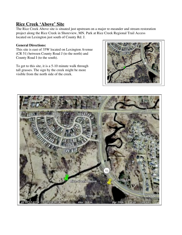## **Rice Creek 'Above' Site**

The Rice Creek Above site is situated just upstream on a major re-meander and stream restoration project along the Rice Creek in Shoreview, MN. Park at Rice Creek Regional Trail Access located on Lexington just south of County Rd. J.

#### **General Directions:**

This site is east of 35W located on Lexington Avenue (CR 51) between County Road J (to the north) and County Road I (to the south).

To get to this site, it is a 5-10 minute walk through tall grasses. The sign by the creek might be more visible from the north side of the creek.



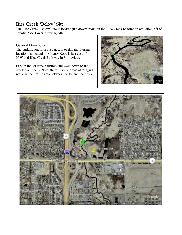## **Rice Creek 'Below' Site**

The Rice Creek 'Below' site is located just downstream on the Rice Creek restoration activities, off of county Road I in Shoreview, MN.

#### **General Directions:**

The parking lot, with easy access to this monitoring location, is located on County Road I, just east of 35W and Rice Creek Parkway in Shoreview.

Park in the lot (free parking) and walk down to the creek from there. Note: there is some areas of stinging nettle in the prairie area between the lot and the creek.



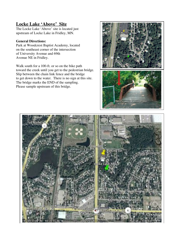# **Locke Lake 'Above' Site**

The Locke Lake 'Above' site is located just upstream of Locke Lake in Fridley, MN.

#### **General Directions:**

Park at Woodcrest Baptist Academy, located on the southeast corner of the intersection of University Avenue and 69th Avenue NE in Fridley.

Walk south for a 100-ft. or so on the bike path toward the creek until you get to the pedestrian bridge. Slip between the chain link fence and the bridge to get down to the water. There is no sign at this site. The bridge marks the END of the sampling. Please sample upstream of this bridge.